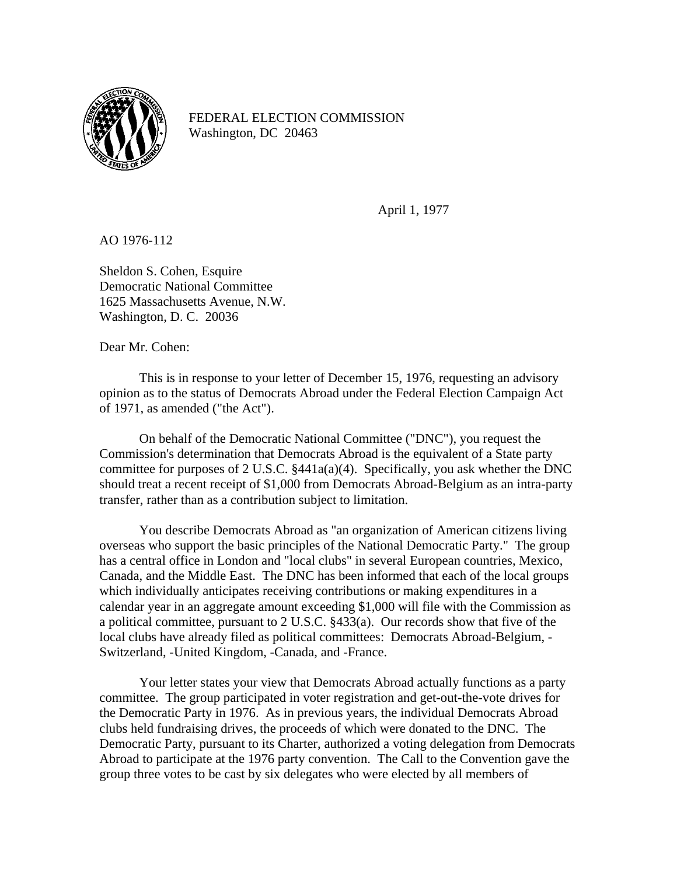

FEDERAL ELECTION COMMISSION Washington, DC 20463

April 1, 1977

AO 1976-112

Sheldon S. Cohen, Esquire Democratic National Committee 1625 Massachusetts Avenue, N.W. Washington, D. C. 20036

Dear Mr. Cohen:

This is in response to your letter of December 15, 1976, requesting an advisory opinion as to the status of Democrats Abroad under the Federal Election Campaign Act of 1971, as amended ("the Act").

On behalf of the Democratic National Committee ("DNC"), you request the Commission's determination that Democrats Abroad is the equivalent of a State party committee for purposes of 2 U.S.C. §441a(a)(4). Specifically, you ask whether the DNC should treat a recent receipt of \$1,000 from Democrats Abroad-Belgium as an intra-party transfer, rather than as a contribution subject to limitation.

You describe Democrats Abroad as "an organization of American citizens living overseas who support the basic principles of the National Democratic Party." The group has a central office in London and "local clubs" in several European countries, Mexico, Canada, and the Middle East. The DNC has been informed that each of the local groups which individually anticipates receiving contributions or making expenditures in a calendar year in an aggregate amount exceeding \$1,000 will file with the Commission as a political committee, pursuant to 2 U.S.C. §433(a). Our records show that five of the local clubs have already filed as political committees: Democrats Abroad-Belgium, - Switzerland, -United Kingdom, -Canada, and -France.

Your letter states your view that Democrats Abroad actually functions as a party committee. The group participated in voter registration and get-out-the-vote drives for the Democratic Party in 1976. As in previous years, the individual Democrats Abroad clubs held fundraising drives, the proceeds of which were donated to the DNC. The Democratic Party, pursuant to its Charter, authorized a voting delegation from Democrats Abroad to participate at the 1976 party convention. The Call to the Convention gave the group three votes to be cast by six delegates who were elected by all members of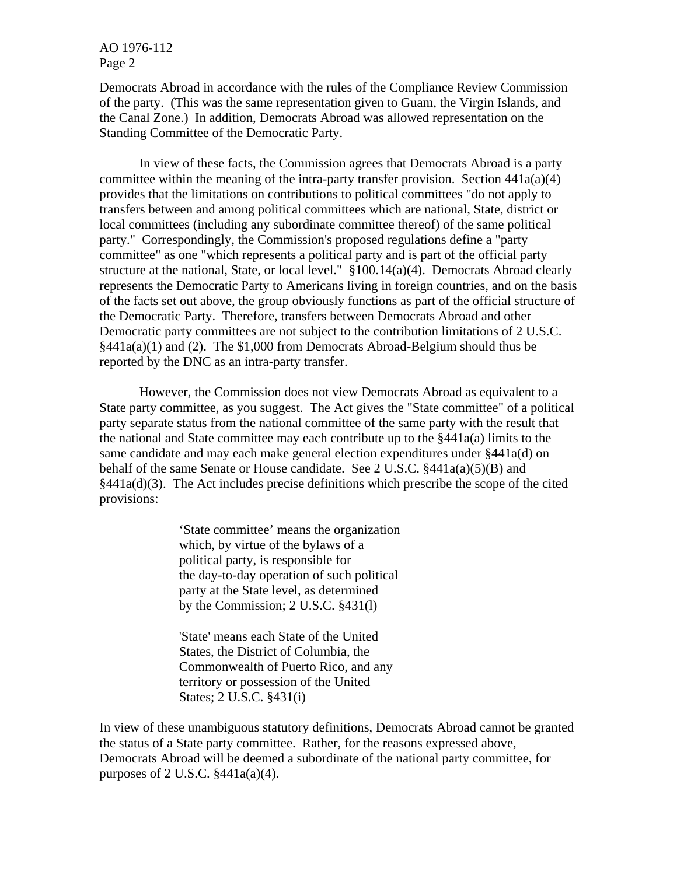AO 1976-112 Page 2

Democrats Abroad in accordance with the rules of the Compliance Review Commission of the party. (This was the same representation given to Guam, the Virgin Islands, and the Canal Zone.) In addition, Democrats Abroad was allowed representation on the Standing Committee of the Democratic Party.

In view of these facts, the Commission agrees that Democrats Abroad is a party committee within the meaning of the intra-party transfer provision. Section  $441a(a)(4)$ provides that the limitations on contributions to political committees "do not apply to transfers between and among political committees which are national, State, district or local committees (including any subordinate committee thereof) of the same political party." Correspondingly, the Commission's proposed regulations define a "party committee" as one "which represents a political party and is part of the official party structure at the national, State, or local level." §100.14(a)(4). Democrats Abroad clearly represents the Democratic Party to Americans living in foreign countries, and on the basis of the facts set out above, the group obviously functions as part of the official structure of the Democratic Party. Therefore, transfers between Democrats Abroad and other Democratic party committees are not subject to the contribution limitations of 2 U.S.C. §441a(a)(1) and (2). The \$1,000 from Democrats Abroad-Belgium should thus be reported by the DNC as an intra-party transfer.

However, the Commission does not view Democrats Abroad as equivalent to a State party committee, as you suggest. The Act gives the "State committee" of a political party separate status from the national committee of the same party with the result that the national and State committee may each contribute up to the §441a(a) limits to the same candidate and may each make general election expenditures under §441a(d) on behalf of the same Senate or House candidate. See 2 U.S.C. §441a(a)(5)(B) and  $§441a(d)(3)$ . The Act includes precise definitions which prescribe the scope of the cited provisions:

> 'State committee' means the organization which, by virtue of the bylaws of a political party, is responsible for the day-to-day operation of such political party at the State level, as determined by the Commission; 2 U.S.C. §431(l)

'State' means each State of the United States, the District of Columbia, the Commonwealth of Puerto Rico, and any territory or possession of the United States; 2 U.S.C. §431(i)

In view of these unambiguous statutory definitions, Democrats Abroad cannot be granted the status of a State party committee. Rather, for the reasons expressed above, Democrats Abroad will be deemed a subordinate of the national party committee, for purposes of 2 U.S.C.  $§441a(a)(4)$ .